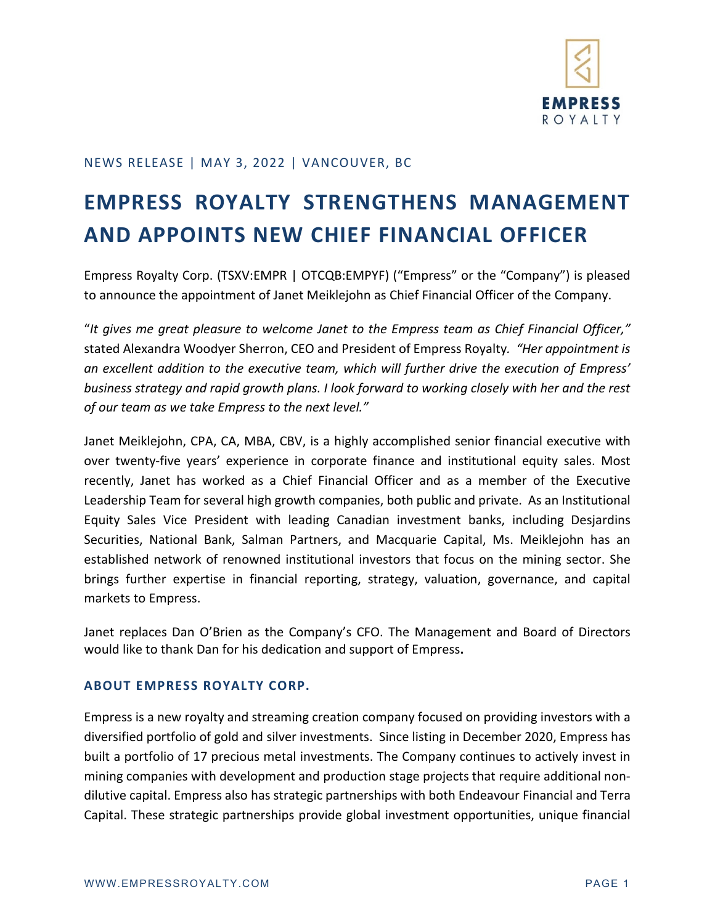

## NEWS RELEASE | MAY 3, 2022 | VANCOUVER, BC

## **EMPRESS ROYALTY STRENGTHENS MANAGEMENT AND APPOINTS NEW CHIEF FINANCIAL OFFICER**

Empress Royalty Corp. (TSXV:EMPR | OTCQB:EMPYF) ("Empress" or the "Company") is pleased to announce the appointment of Janet Meiklejohn as Chief Financial Officer of the Company.

"*It gives me great pleasure to welcome Janet to the Empress team as Chief Financial Officer,"*  stated Alexandra Woodyer Sherron, CEO and President of Empress Royalty*. "Her appointment is an excellent addition to the executive team, which will further drive the execution of Empress' business strategy and rapid growth plans. I look forward to working closely with her and the rest of our team as we take Empress to the next level."* 

Janet Meiklejohn, CPA, CA, MBA, CBV, is a highly accomplished senior financial executive with over twenty-five years' experience in corporate finance and institutional equity sales. Most recently, Janet has worked as a Chief Financial Officer and as a member of the Executive Leadership Team for several high growth companies, both public and private. As an Institutional Equity Sales Vice President with leading Canadian investment banks, including Desjardins Securities, National Bank, Salman Partners, and Macquarie Capital, Ms. Meiklejohn has an established network of renowned institutional investors that focus on the mining sector. She brings further expertise in financial reporting, strategy, valuation, governance, and capital markets to Empress.

Janet replaces Dan O'Brien as the Company's CFO. The Management and Board of Directors would like to thank Dan for his dedication and support of Empress**.** 

## **ABOUT EMPRESS ROYALTY CORP.**

Empress is a new royalty and streaming creation company focused on providing investors with a diversified portfolio of gold and silver investments. Since listing in December 2020, Empress has built a portfolio of 17 precious metal investments. The Company continues to actively invest in mining companies with development and production stage projects that require additional nondilutive capital. Empress also has strategic partnerships with both Endeavour Financial and Terra Capital. These strategic partnerships provide global investment opportunities, unique financial